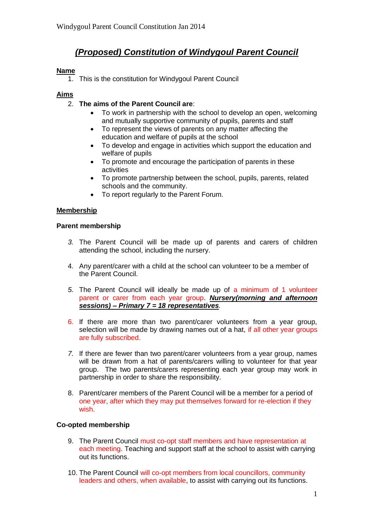# *(Proposed) Constitution of Windygoul Parent Council*

## **Name**

1. This is the constitution for Windygoul Parent Council

## **Aims**

- 2. **The aims of the Parent Council are**:
	- To work in partnership with the school to develop an open, welcoming and mutually supportive community of pupils, parents and staff
	- To represent the views of parents on any matter affecting the education and welfare of pupils at the school
	- To develop and engage in activities which support the education and welfare of pupils
	- To promote and encourage the participation of parents in these activities
	- To promote partnership between the school, pupils, parents, related schools and the community.
	- To report regularly to the Parent Forum.

#### **Membership**

#### **Parent membership**

- *3.* The Parent Council will be made up of parents and carers of children attending the school, including the nursery.
- 4. Any parent/carer with a child at the school can volunteer to be a member of the Parent Council.
- *5.* The Parent Council will ideally be made up of a minimum of 1 volunteer parent or carer from each year group. *Nursery(morning and afternoon sessions) – Primary 7 = 18 representatives.*
- 6. If there are more than two parent/carer volunteers from a year group, selection will be made by drawing names out of a hat, if all other year groups are fully subscribed.
- *7.* If there are fewer than two parent/carer volunteers from a year group, names will be drawn from a hat of parents/carers willing to volunteer for that year group. The two parents/carers representing each year group may work in partnership in order to share the responsibility.
- 8. Parent/carer members of the Parent Council will be a member for a period of one year, after which they may put themselves forward for re-election if they wish.

#### **Co-opted membership**

- 9. The Parent Council must co-opt staff members and have representation at each meeting. Teaching and support staff at the school to assist with carrying out its functions.
- 10. The Parent Council will co-opt members from local councillors, community leaders and others, when available, to assist with carrying out its functions.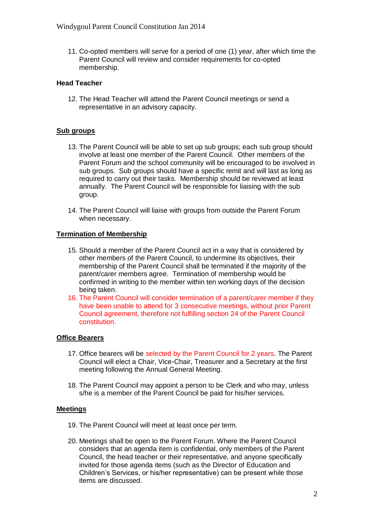11. Co-opted members will serve for a period of one (1) year, after which time the Parent Council will review and consider requirements for co-opted membership.

#### **Head Teacher**

12. The Head Teacher will attend the Parent Council meetings or send a representative in an advisory capacity.

### **Sub groups**

- 13. The Parent Council will be able to set up sub groups; each sub group should involve at least one member of the Parent Council. Other members of the Parent Forum and the school community will be encouraged to be involved in sub groups. Sub groups should have a specific remit and will last as long as required to carry out their tasks. Membership should be reviewed at least annually. The Parent Council will be responsible for liaising with the sub group.
- 14. The Parent Council will liaise with groups from outside the Parent Forum when necessary.

#### **Termination of Membership**

- 15. Should a member of the Parent Council act in a way that is considered by other members of the Parent Council, to undermine its objectives, their membership of the Parent Council shall be terminated if the majority of the parent/carer members agree. Termination of membership would be confirmed in writing to the member within ten working days of the decision being taken.
- 16. The Parent Council will consider termination of a parent/carer member if they have been unable to attend for 3 consecutive meetings, without prior Parent Council agreement, therefore not fulfilling section 24 of the Parent Council constitution.

#### **Office Bearers**

- 17. Office bearers will be selected by the Parent Council for 2 years. The Parent Council will elect a Chair, Vice-Chair, Treasurer and a Secretary at the first meeting following the Annual General Meeting.
- 18. The Parent Council may appoint a person to be Clerk and who may, unless s/he is a member of the Parent Council be paid for his/her services.

#### **Meetings**

- 19. The Parent Council will meet at least once per term.
- 20. Meetings shall be open to the Parent Forum. Where the Parent Council considers that an agenda item is confidential, only members of the Parent Council, the head teacher or their representative, and anyone specifically invited for those agenda items (such as the Director of Education and Children's Services, or his/her representative) can be present while those items are discussed.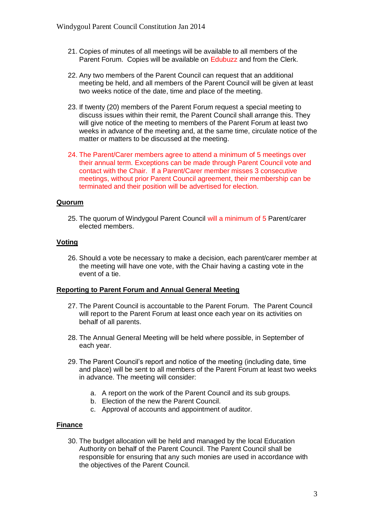- 21. Copies of minutes of all meetings will be available to all members of the Parent Forum. Copies will be available on Edubuzz and from the Clerk.
- 22. Any two members of the Parent Council can request that an additional meeting be held, and all members of the Parent Council will be given at least two weeks notice of the date, time and place of the meeting.
- 23. If twenty (20) members of the Parent Forum request a special meeting to discuss issues within their remit, the Parent Council shall arrange this. They will give notice of the meeting to members of the Parent Forum at least two weeks in advance of the meeting and, at the same time, circulate notice of the matter or matters to be discussed at the meeting.
- 24. The Parent/Carer members agree to attend a minimum of 5 meetings over their annual term. Exceptions can be made through Parent Council vote and contact with the Chair. If a Parent/Carer member misses 3 consecutive meetings, without prior Parent Council agreement, their membership can be terminated and their position will be advertised for election.

## **Quorum**

25. The quorum of Windygoul Parent Council will a minimum of 5 Parent/carer elected members.

## **Voting**

26. Should a vote be necessary to make a decision, each parent/carer member at the meeting will have one vote, with the Chair having a casting vote in the event of a tie.

#### **Reporting to Parent Forum and Annual General Meeting**

- 27. The Parent Council is accountable to the Parent Forum. The Parent Council will report to the Parent Forum at least once each year on its activities on behalf of all parents.
- 28. The Annual General Meeting will be held where possible, in September of each year.
- 29. The Parent Council's report and notice of the meeting (including date, time and place) will be sent to all members of the Parent Forum at least two weeks in advance. The meeting will consider:
	- a. A report on the work of the Parent Council and its sub groups.
	- b. Election of the new the Parent Council.
	- c. Approval of accounts and appointment of auditor.

# **Finance**

30. The budget allocation will be held and managed by the local Education Authority on behalf of the Parent Council. The Parent Council shall be responsible for ensuring that any such monies are used in accordance with the objectives of the Parent Council.